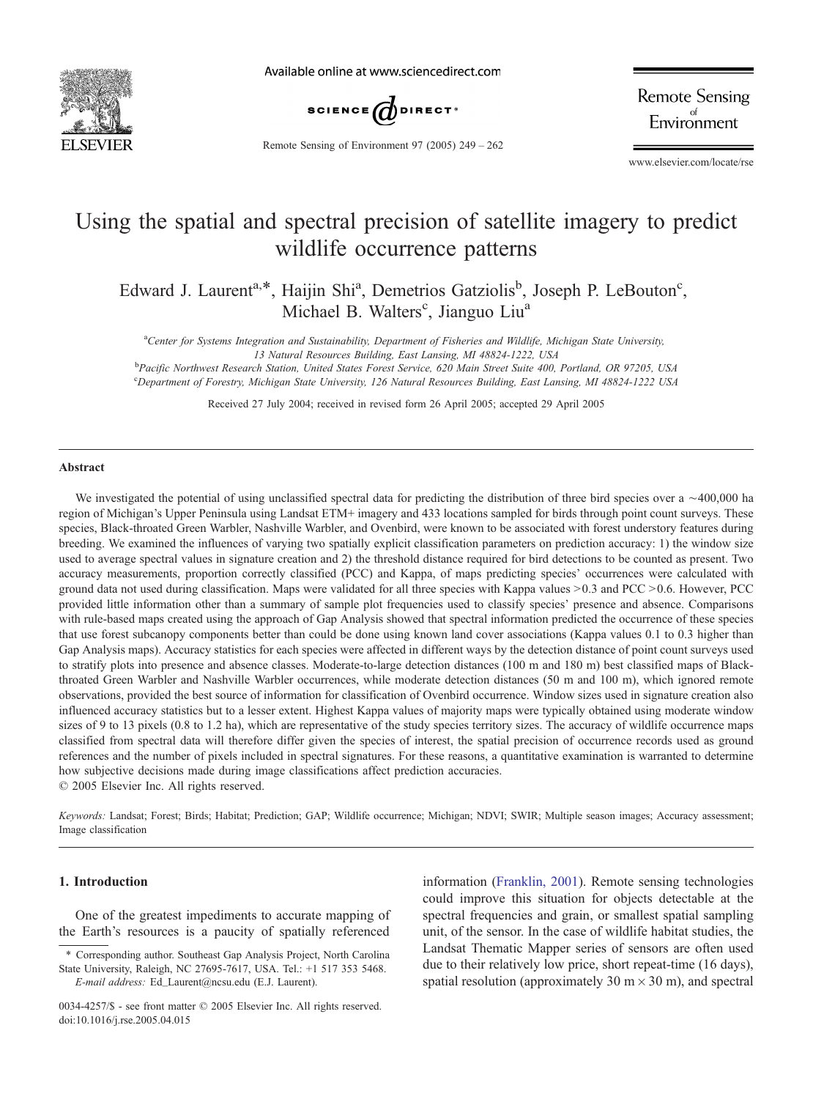

Available online at www.sciencedirect.com



**Remote Sensing** Environment

Remote Sensing of Environment 97 (2005) 249 – 262

www.elsevier.com/locate/rse

# Using the spatial and spectral precision of satellite imagery to predict wildlife occurrence patterns

Edward J. Laurent<sup>a,\*</sup>, Haijin Shi<sup>a</sup>, Demetrios Gatziolis<sup>b</sup>, Joseph P. LeBouton<sup>c</sup>, Michael B. Walters<sup>c</sup>, Jianguo Liu<sup>a</sup>

a Center for Systems Integration and Sustainability, Department of Fisheries and Wildlife, Michigan State University,

13 Natural Resources Building, East Lansing, MI 48824-1222, USA<br>Pacific Northwest Research Station, United States Forest Service, 620 Main Street Suite 400, Portland, OR 97205, USA c Department of Forestry, Michigan State University, 126 Natural Resources Building, East Lansing, MI 48824-1222 USA

Received 27 July 2004; received in revised form 26 April 2005; accepted 29 April 2005

### Abstract

We investigated the potential of using unclassified spectral data for predicting the distribution of three bird species over a  $\sim$ 400,000 ha region of Michigan's Upper Peninsula using Landsat ETM+ imagery and 433 locations sampled for birds through point count surveys. These species, Black-throated Green Warbler, Nashville Warbler, and Ovenbird, were known to be associated with forest understory features during breeding. We examined the influences of varying two spatially explicit classification parameters on prediction accuracy: 1) the window size used to average spectral values in signature creation and 2) the threshold distance required for bird detections to be counted as present. Two accuracy measurements, proportion correctly classified (PCC) and Kappa, of maps predicting species' occurrences were calculated with ground data not used during classification. Maps were validated for all three species with Kappa values > 0.3 and PCC >0.6. However, PCC provided little information other than a summary of sample plot frequencies used to classify species' presence and absence. Comparisons with rule-based maps created using the approach of Gap Analysis showed that spectral information predicted the occurrence of these species that use forest subcanopy components better than could be done using known land cover associations (Kappa values 0.1 to 0.3 higher than Gap Analysis maps). Accuracy statistics for each species were affected in different ways by the detection distance of point count surveys used to stratify plots into presence and absence classes. Moderate-to-large detection distances (100 m and 180 m) best classified maps of Blackthroated Green Warbler and Nashville Warbler occurrences, while moderate detection distances (50 m and 100 m), which ignored remote observations, provided the best source of information for classification of Ovenbird occurrence. Window sizes used in signature creation also influenced accuracy statistics but to a lesser extent. Highest Kappa values of majority maps were typically obtained using moderate window sizes of 9 to 13 pixels (0.8 to 1.2 ha), which are representative of the study species territory sizes. The accuracy of wildlife occurrence maps classified from spectral data will therefore differ given the species of interest, the spatial precision of occurrence records used as ground references and the number of pixels included in spectral signatures. For these reasons, a quantitative examination is warranted to determine how subjective decisions made during image classifications affect prediction accuracies.  $© 2005 Elsevier Inc. All rights reserved.$ 

Keywords: Landsat; Forest; Birds; Habitat; Prediction; GAP; Wildlife occurrence; Michigan; NDVI; SWIR; Multiple season images; Accuracy assessment; Image classification

## 1. Introduction

One of the greatest impediments to accurate mapping of the Earth's resources is a paucity of spatially referenced

information ([Franklin, 2001\)](#page-11-0). Remote sensing technologies could improve this situation for objects detectable at the spectral frequencies and grain, or smallest spatial sampling unit, of the sensor. In the case of wildlife habitat studies, the Landsat Thematic Mapper series of sensors are often used due to their relatively low price, short repeat-time (16 days), spatial resolution (approximately 30 m $\times$  30 m), and spectral

<sup>\*</sup> Corresponding author. Southeast Gap Analysis Project, North Carolina State University, Raleigh, NC 27695-7617, USA. Tel.: +1 517 353 5468. E-mail address: Ed\_Laurent@ncsu.edu (E.J. Laurent).

<sup>0034-4257/\$ -</sup> see front matter  $\odot$  2005 Elsevier Inc. All rights reserved. doi:10.1016/j.rse.2005.04.015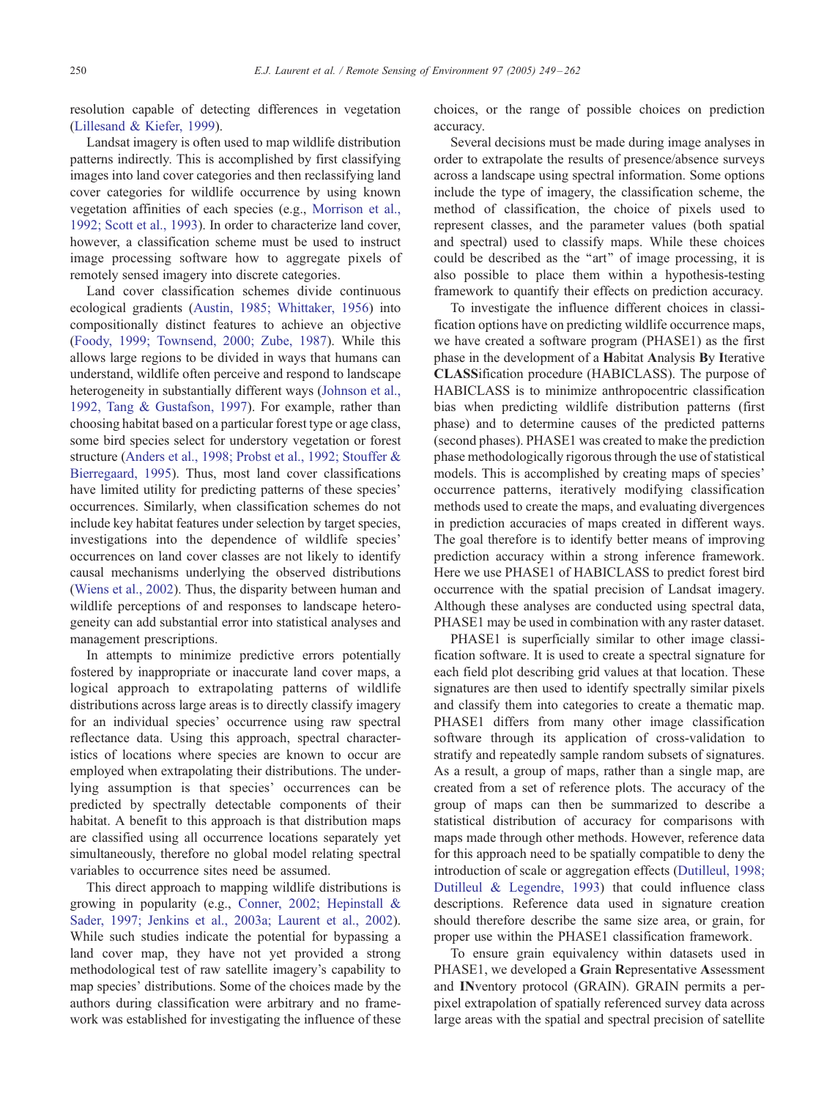resolution capable of detecting differences in vegetation ([Lillesand & Kiefer, 1999\)](#page-12-0).

Landsat imagery is often used to map wildlife distribution patterns indirectly. This is accomplished by first classifying images into land cover categories and then reclassifying land cover categories for wildlife occurrence by using known vegetation affinities of each species (e.g., [Morrison et al.,](#page-12-0) 1992; Scott et al., 1993). In order to characterize land cover, however, a classification scheme must be used to instruct image processing software how to aggregate pixels of remotely sensed imagery into discrete categories.

Land cover classification schemes divide continuous ecological gradients ([Austin, 1985; Whittaker, 1956\)](#page-11-0) into compositionally distinct features to achieve an objective ([Foody, 1999; Townsend, 2000; Zube, 1987\)](#page-11-0). While this allows large regions to be divided in ways that humans can understand, wildlife often perceive and respond to landscape heterogeneity in substantially different ways ([Johnson et al.,](#page-11-0) 1992, Tang & Gustafson, 1997). For example, rather than choosing habitat based on a particular forest type or age class, some bird species select for understory vegetation or forest structure ([Anders et al., 1998; Probst et al., 1992; Stouffer &](#page-11-0) Bierregaard, 1995). Thus, most land cover classifications have limited utility for predicting patterns of these species' occurrences. Similarly, when classification schemes do not include key habitat features under selection by target species, investigations into the dependence of wildlife species' occurrences on land cover classes are not likely to identify causal mechanisms underlying the observed distributions ([Wiens et al., 2002\)](#page-12-0). Thus, the disparity between human and wildlife perceptions of and responses to landscape heterogeneity can add substantial error into statistical analyses and management prescriptions.

In attempts to minimize predictive errors potentially fostered by inappropriate or inaccurate land cover maps, a logical approach to extrapolating patterns of wildlife distributions across large areas is to directly classify imagery for an individual species' occurrence using raw spectral reflectance data. Using this approach, spectral characteristics of locations where species are known to occur are employed when extrapolating their distributions. The underlying assumption is that species' occurrences can be predicted by spectrally detectable components of their habitat. A benefit to this approach is that distribution maps are classified using all occurrence locations separately yet simultaneously, therefore no global model relating spectral variables to occurrence sites need be assumed.

This direct approach to mapping wildlife distributions is growing in popularity (e.g., [Conner, 2002; Hepinstall &](#page-11-0) Sader, 1997; Jenkins et al., 2003a; Laurent et al., 2002). While such studies indicate the potential for bypassing a land cover map, they have not yet provided a strong methodological test of raw satellite imagery's capability to map species' distributions. Some of the choices made by the authors during classification were arbitrary and no framework was established for investigating the influence of these

choices, or the range of possible choices on prediction accuracy.

Several decisions must be made during image analyses in order to extrapolate the results of presence/absence surveys across a landscape using spectral information. Some options include the type of imagery, the classification scheme, the method of classification, the choice of pixels used to represent classes, and the parameter values (both spatial and spectral) used to classify maps. While these choices could be described as the "art" of image processing, it is also possible to place them within a hypothesis-testing framework to quantify their effects on prediction accuracy.

To investigate the influence different choices in classification options have on predicting wildlife occurrence maps, we have created a software program (PHASE1) as the first phase in the development of a Habitat Analysis By Iterative CLASSification procedure (HABICLASS). The purpose of HABICLASS is to minimize anthropocentric classification bias when predicting wildlife distribution patterns (first phase) and to determine causes of the predicted patterns (second phases). PHASE1 was created to make the prediction phase methodologically rigorous through the use of statistical models. This is accomplished by creating maps of species' occurrence patterns, iteratively modifying classification methods used to create the maps, and evaluating divergences in prediction accuracies of maps created in different ways. The goal therefore is to identify better means of improving prediction accuracy within a strong inference framework. Here we use PHASE1 of HABICLASS to predict forest bird occurrence with the spatial precision of Landsat imagery. Although these analyses are conducted using spectral data, PHASE1 may be used in combination with any raster dataset.

PHASE1 is superficially similar to other image classification software. It is used to create a spectral signature for each field plot describing grid values at that location. These signatures are then used to identify spectrally similar pixels and classify them into categories to create a thematic map. PHASE1 differs from many other image classification software through its application of cross-validation to stratify and repeatedly sample random subsets of signatures. As a result, a group of maps, rather than a single map, are created from a set of reference plots. The accuracy of the group of maps can then be summarized to describe a statistical distribution of accuracy for comparisons with maps made through other methods. However, reference data for this approach need to be spatially compatible to deny the introduction of scale or aggregation effects ([Dutilleul, 1998;](#page-11-0) Dutilleul & Legendre, 1993) that could influence class descriptions. Reference data used in signature creation should therefore describe the same size area, or grain, for proper use within the PHASE1 classification framework.

To ensure grain equivalency within datasets used in PHASE1, we developed a Grain Representative Assessment and INventory protocol (GRAIN). GRAIN permits a perpixel extrapolation of spatially referenced survey data across large areas with the spatial and spectral precision of satellite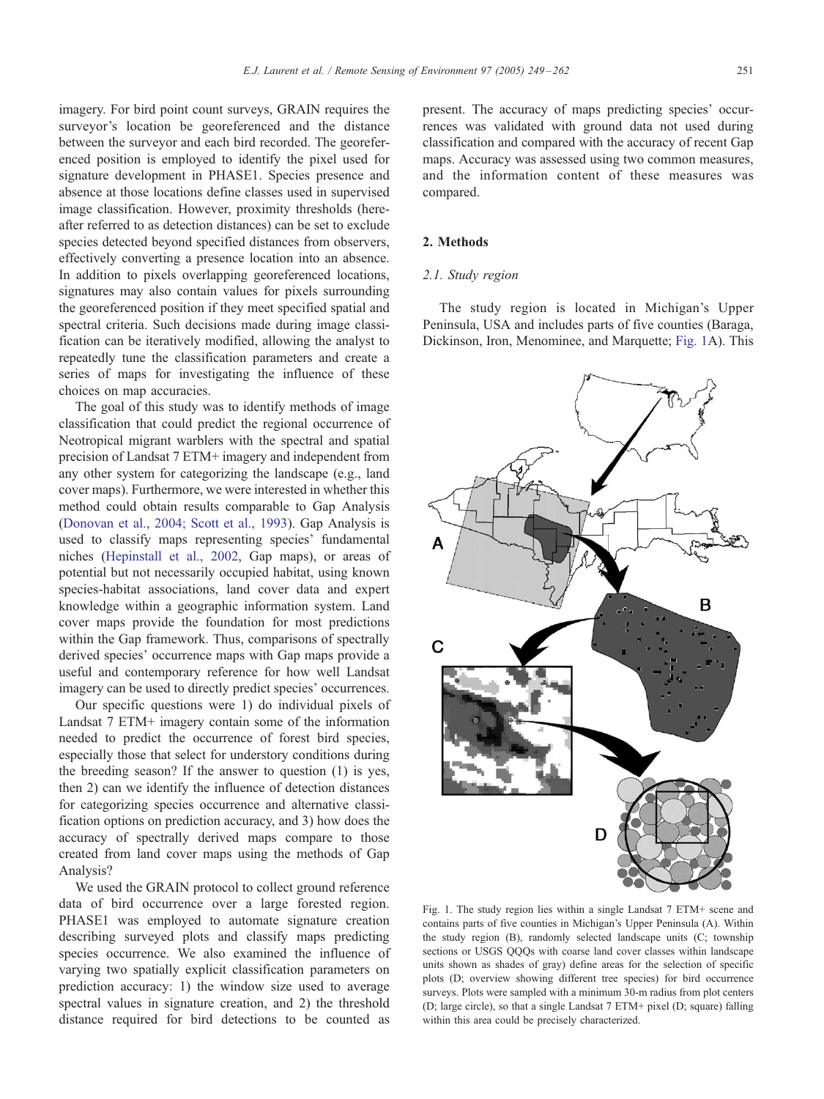<span id="page-2-0"></span>imagery. For bird point count surveys, GRAIN requires the surveyor's location be georeferenced and the distance between the surveyor and each bird recorded. The georeferenced position is employed to identify the pixel used for signature development in PHASE1. Species presence and absence at those locations define classes used in supervised image classification. However, proximity thresholds (hereafter referred to as detection distances) can be set to exclude species detected beyond specified distances from observers, effectively converting a presence location into an absence. In addition to pixels overlapping georeferenced locations, signatures may also contain values for pixels surrounding the georeferenced position if they meet specified spatial and spectral criteria. Such decisions made during image classification can be iteratively modified, allowing the analyst to repeatedly tune the classification parameters and create a series of maps for investigating the influence of these choices on map accuracies.

The goal of this study was to identify methods of image classification that could predict the regional occurrence of Neotropical migrant warblers with the spectral and spatial precision of Landsat 7 ETM+ imagery and independent from any other system for categorizing the landscape (e.g., land cover maps). Furthermore, we were interested in whether this method could obtain results comparable to Gap Analysis ([Donovan et al., 2004; Scott et al., 1993\)](#page-11-0). Gap Analysis is used to classify maps representing species' fundamental niches ([Hepinstall et al., 2002,](#page-11-0) Gap maps), or areas of potential but not necessarily occupied habitat, using known species-habitat associations, land cover data and expert knowledge within a geographic information system. Land cover maps provide the foundation for most predictions within the Gap framework. Thus, comparisons of spectrally derived species' occurrence maps with Gap maps provide a useful and contemporary reference for how well Landsat imagery can be used to directly predict species' occurrences.

Our specific questions were 1) do individual pixels of Landsat 7 ETM+ imagery contain some of the information needed to predict the occurrence of forest bird species, especially those that select for understory conditions during the breeding season? If the answer to question (1) is yes, then 2) can we identify the influence of detection distances for categorizing species occurrence and alternative classification options on prediction accuracy, and 3) how does the accuracy of spectrally derived maps compare to those created from land cover maps using the methods of Gap Analysis?

We used the GRAIN protocol to collect ground reference data of bird occurrence over a large forested region. PHASE1 was employed to automate signature creation describing surveyed plots and classify maps predicting species occurrence. We also examined the influence of varying two spatially explicit classification parameters on prediction accuracy: 1) the window size used to average spectral values in signature creation, and 2) the threshold distance required for bird detections to be counted as present. The accuracy of maps predicting species' occurrences was validated with ground data not used during classification and compared with the accuracy of recent Gap maps. Accuracy was assessed using two common measures, and the information content of these measures was compared.

# 2. Methods

# 2.1. Study region

The study region is located in Michigan's Upper Peninsula, USA and includes parts of five counties (Baraga, Dickinson, Iron, Menominee, and Marquette; Fig. 1A). This



Fig. 1. The study region lies within a single Landsat 7 ETM+ scene and contains parts of five counties in Michigan's Upper Peninsula (A). Within the study region (B), randomly selected landscape units (C; township sections or USGS QQQs with coarse land cover classes within landscape units shown as shades of gray) define areas for the selection of specific plots (D; overview showing different tree species) for bird occurrence surveys. Plots were sampled with a minimum 30-m radius from plot centers (D; large circle), so that a single Landsat 7 ETM+ pixel (D; square) falling within this area could be precisely characterized.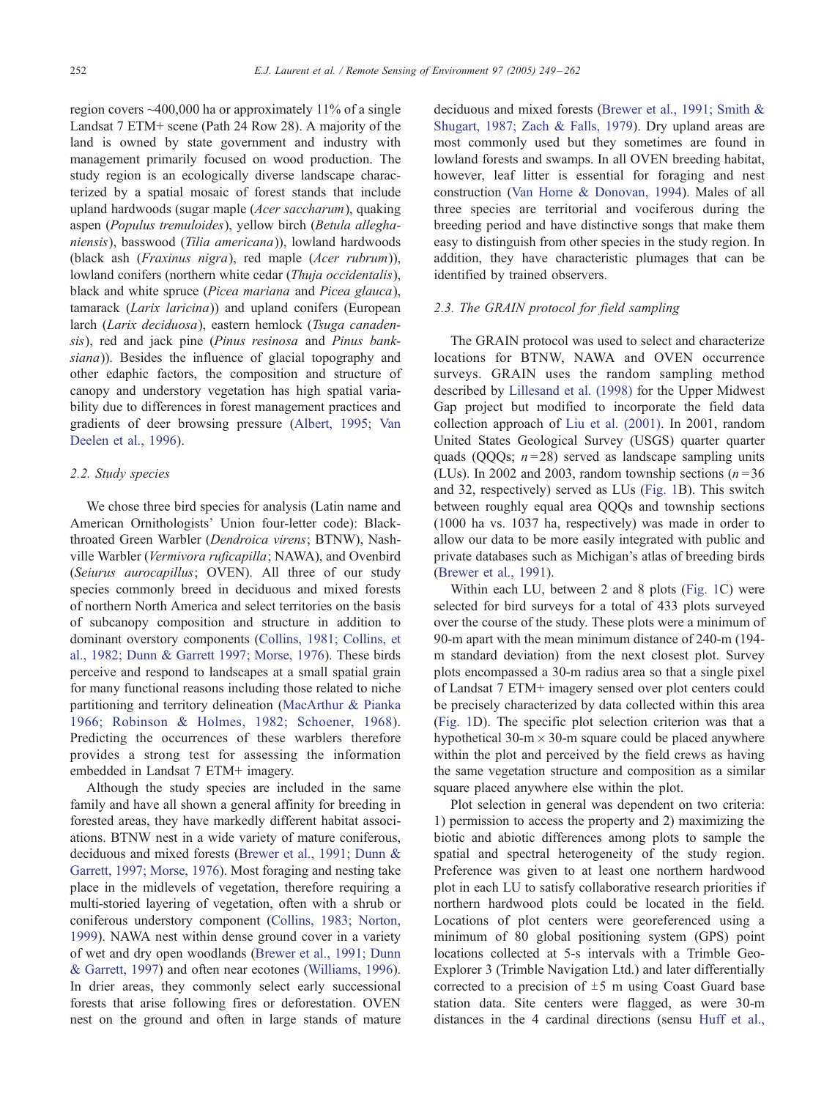region covers ~400,000 ha or approximately 11% of a single Landsat 7 ETM+ scene (Path 24 Row 28). A majority of the land is owned by state government and industry with management primarily focused on wood production. The study region is an ecologically diverse landscape characterized by a spatial mosaic of forest stands that include upland hardwoods (sugar maple (Acer saccharum), quaking aspen (Populus tremuloides), yellow birch (Betula alleghaniensis), basswood (Tilia americana)), lowland hardwoods (black ash (Fraxinus nigra), red maple (Acer rubrum)), lowland conifers (northern white cedar (*Thuja occidentalis*), black and white spruce (Picea mariana and Picea glauca), tamarack (Larix laricina)) and upland conifers (European larch (Larix deciduosa), eastern hemlock (Tsuga canadensis), red and jack pine (Pinus resinosa and Pinus banksiana)). Besides the influence of glacial topography and other edaphic factors, the composition and structure of canopy and understory vegetation has high spatial variability due to differences in forest management practices and gradients of deer browsing pressure ([Albert, 1995; Van](#page-11-0) Deelen et al., 1996).

## 2.2. Study species

We chose three bird species for analysis (Latin name and American Ornithologists' Union four-letter code): Blackthroated Green Warbler (Dendroica virens; BTNW), Nashville Warbler (Vermivora ruficapilla; NAWA), and Ovenbird (Seiurus aurocapillus; OVEN). All three of our study species commonly breed in deciduous and mixed forests of northern North America and select territories on the basis of subcanopy composition and structure in addition to dominant overstory components ([Collins, 1981; Collins, et](#page-11-0) al., 1982; Dunn & Garrett 1997; Morse, 1976). These birds perceive and respond to landscapes at a small spatial grain for many functional reasons including those related to niche partitioning and territory delineation ([MacArthur & Pianka](#page-12-0) 1966; Robinson & Holmes, 1982; Schoener, 1968). Predicting the occurrences of these warblers therefore provides a strong test for assessing the information embedded in Landsat 7 ETM+ imagery.

Although the study species are included in the same family and have all shown a general affinity for breeding in forested areas, they have markedly different habitat associations. BTNW nest in a wide variety of mature coniferous, deciduous and mixed forests ([Brewer et al., 1991; Dunn &](#page-11-0) Garrett, 1997; Morse, 1976). Most foraging and nesting take place in the midlevels of vegetation, therefore requiring a multi-storied layering of vegetation, often with a shrub or coniferous understory component ([Collins, 1983; Norton,](#page-11-0) 1999). NAWA nest within dense ground cover in a variety of wet and dry open woodlands ([Brewer et al., 1991; Dunn](#page-11-0) & Garrett, 1997) and often near ecotones ([Williams, 1996\)](#page-12-0). In drier areas, they commonly select early successional forests that arise following fires or deforestation. OVEN nest on the ground and often in large stands of mature deciduous and mixed forests ([Brewer et al., 1991; Smith &](#page-11-0) Shugart, 1987; Zach & Falls, 1979). Dry upland areas are most commonly used but they sometimes are found in lowland forests and swamps. In all OVEN breeding habitat, however, leaf litter is essential for foraging and nest construction ([Van Horne & Donovan, 1994\)](#page-12-0). Males of all three species are territorial and vociferous during the breeding period and have distinctive songs that make them easy to distinguish from other species in the study region. In addition, they have characteristic plumages that can be identified by trained observers.

## 2.3. The GRAIN protocol for field sampling

The GRAIN protocol was used to select and characterize locations for BTNW, NAWA and OVEN occurrence surveys. GRAIN uses the random sampling method described by [Lillesand et al. \(1998\)](#page-12-0) for the Upper Midwest Gap project but modified to incorporate the field data collection approach of [Liu et al. \(2001\).](#page-12-0) In 2001, random United States Geological Survey (USGS) quarter quarter quads (QQQs;  $n = 28$ ) served as landscape sampling units (LUs). In 2002 and 2003, random township sections ( $n = 36$ ) and 32, respectively) served as LUs ([Fig. 1B](#page-2-0)). This switch between roughly equal area QQQs and township sections (1000 ha vs. 1037 ha, respectively) was made in order to allow our data to be more easily integrated with public and private databases such as Michigan's atlas of breeding birds ([Brewer et al., 1991\)](#page-11-0).

Within each LU, between 2 and 8 plots ([Fig. 1C](#page-2-0)) were selected for bird surveys for a total of 433 plots surveyed over the course of the study. These plots were a minimum of 90-m apart with the mean minimum distance of 240-m (194 m standard deviation) from the next closest plot. Survey plots encompassed a 30-m radius area so that a single pixel of Landsat 7 ETM+ imagery sensed over plot centers could be precisely characterized by data collected within this area ([Fig. 1D](#page-2-0)). The specific plot selection criterion was that a hypothetical 30-m  $\times$  30-m square could be placed anywhere within the plot and perceived by the field crews as having the same vegetation structure and composition as a similar square placed anywhere else within the plot.

Plot selection in general was dependent on two criteria: 1) permission to access the property and 2) maximizing the biotic and abiotic differences among plots to sample the spatial and spectral heterogeneity of the study region. Preference was given to at least one northern hardwood plot in each LU to satisfy collaborative research priorities if northern hardwood plots could be located in the field. Locations of plot centers were georeferenced using a minimum of 80 global positioning system (GPS) point locations collected at 5-s intervals with a Trimble Geo-Explorer 3 (Trimble Navigation Ltd.) and later differentially corrected to a precision of  $\pm 5$  m using Coast Guard base station data. Site centers were flagged, as were 30-m distances in the 4 cardinal directions (sensu [Huff et al.,](#page-11-0)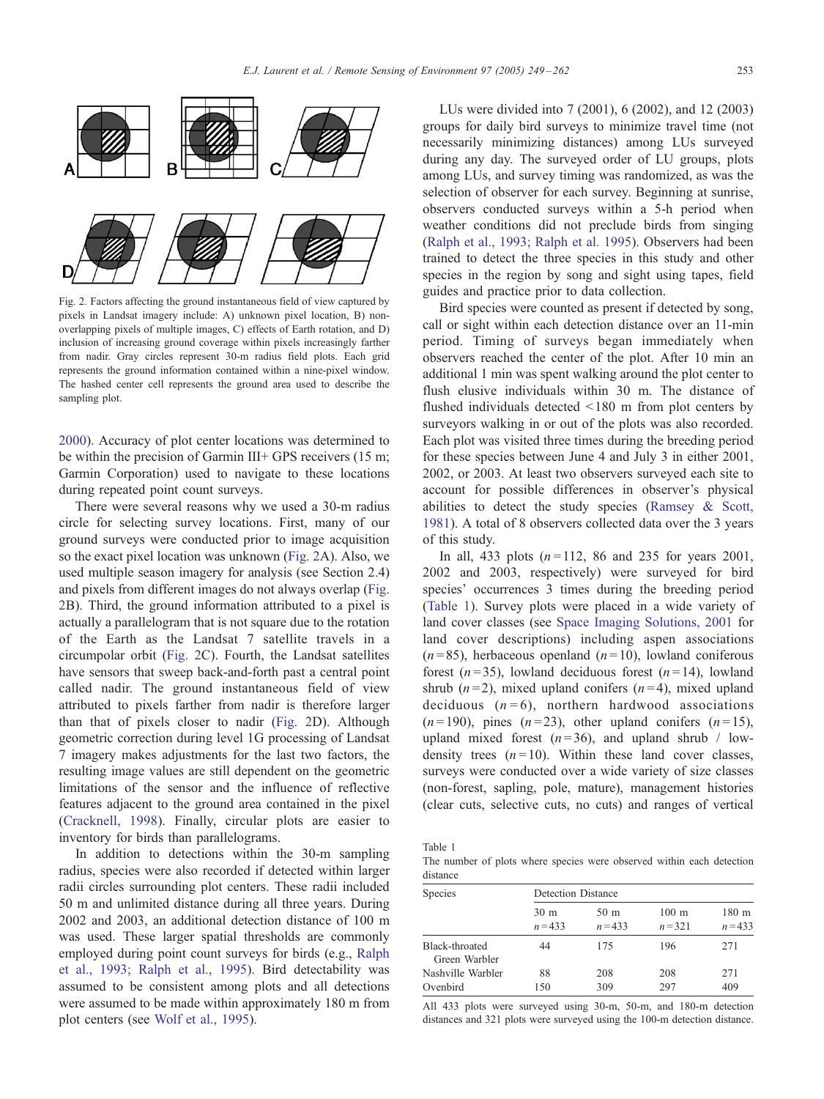<span id="page-4-0"></span>

Fig. 2. Factors affecting the ground instantaneous field of view captured by pixels in Landsat imagery include: A) unknown pixel location, B) nonoverlapping pixels of multiple images, C) effects of Earth rotation, and D) inclusion of increasing ground coverage within pixels increasingly farther from nadir. Gray circles represent 30-m radius field plots. Each grid represents the ground information contained within a nine-pixel window. The hashed center cell represents the ground area used to describe the sampling plot.

2000). Accuracy of plot center locations was determined to be within the precision of Garmin III+ GPS receivers (15 m; Garmin Corporation) used to navigate to these locations during repeated point count surveys.

There were several reasons why we used a 30-m radius circle for selecting survey locations. First, many of our ground surveys were conducted prior to image acquisition so the exact pixel location was unknown (Fig. 2A). Also, we used multiple season imagery for analysis (see Section 2.4) and pixels from different images do not always overlap (Fig. 2B). Third, the ground information attributed to a pixel is actually a parallelogram that is not square due to the rotation of the Earth as the Landsat 7 satellite travels in a circumpolar orbit (Fig. 2C). Fourth, the Landsat satellites have sensors that sweep back-and-forth past a central point called nadir. The ground instantaneous field of view attributed to pixels farther from nadir is therefore larger than that of pixels closer to nadir (Fig. 2D). Although geometric correction during level 1G processing of Landsat 7 imagery makes adjustments for the last two factors, the resulting image values are still dependent on the geometric limitations of the sensor and the influence of reflective features adjacent to the ground area contained in the pixel ([Cracknell, 1998\)](#page-11-0). Finally, circular plots are easier to inventory for birds than parallelograms.

In addition to detections within the 30-m sampling radius, species were also recorded if detected within larger radii circles surrounding plot centers. These radii included 50 m and unlimited distance during all three years. During 2002 and 2003, an additional detection distance of 100 m was used. These larger spatial thresholds are commonly employed during point count surveys for birds (e.g., [Ralph](#page-12-0) et al., 1993; Ralph et al., 1995). Bird detectability was assumed to be consistent among plots and all detections were assumed to be made within approximately 180 m from plot centers (see [Wolf et al., 1995\)](#page-13-0).

LUs were divided into 7 (2001), 6 (2002), and 12 (2003) groups for daily bird surveys to minimize travel time (not necessarily minimizing distances) among LUs surveyed during any day. The surveyed order of LU groups, plots among LUs, and survey timing was randomized, as was the selection of observer for each survey. Beginning at sunrise, observers conducted surveys within a 5-h period when weather conditions did not preclude birds from singing ([Ralph et al., 1993; Ralph et al. 1995\)](#page-12-0). Observers had been trained to detect the three species in this study and other species in the region by song and sight using tapes, field guides and practice prior to data collection.

Bird species were counted as present if detected by song, call or sight within each detection distance over an 11-min period. Timing of surveys began immediately when observers reached the center of the plot. After 10 min an additional 1 min was spent walking around the plot center to flush elusive individuals within 30 m. The distance of flushed individuals detected <180 m from plot centers by surveyors walking in or out of the plots was also recorded. Each plot was visited three times during the breeding period for these species between June 4 and July 3 in either 2001, 2002, or 2003. At least two observers surveyed each site to account for possible differences in observer's physical abilities to detect the study species ([Ramsey & Scott,](#page-12-0) 1981). A total of 8 observers collected data over the 3 years of this study.

In all, 433 plots  $(n=112, 86 \text{ and } 235 \text{ for years } 2001,$ 2002 and 2003, respectively) were surveyed for bird species' occurrences 3 times during the breeding period (Table 1). Survey plots were placed in a wide variety of land cover classes (see [Space Imaging Solutions, 2001](#page-12-0) for land cover descriptions) including aspen associations  $(n=85)$ , herbaceous openland  $(n=10)$ , lowland coniferous forest  $(n=35)$ , lowland deciduous forest  $(n=14)$ , lowland shrub  $(n=2)$ , mixed upland conifers  $(n=4)$ , mixed upland deciduous  $(n=6)$ , northern hardwood associations  $(n=190)$ , pines  $(n=23)$ , other upland conifers  $(n=15)$ , upland mixed forest  $(n=36)$ , and upland shrub / lowdensity trees  $(n=10)$ . Within these land cover classes, surveys were conducted over a wide variety of size classes (non-forest, sapling, pole, mature), management histories (clear cuts, selective cuts, no cuts) and ranges of vertical

Table 1

The number of plots where species were observed within each detection distance

| Species                                | Detection Distance           |                              |                              |                               |
|----------------------------------------|------------------------------|------------------------------|------------------------------|-------------------------------|
|                                        | 30 <sub>m</sub><br>$n = 433$ | 50 <sub>m</sub><br>$n = 433$ | $100 \text{ m}$<br>$n = 321$ | 180 <sub>m</sub><br>$n = 433$ |
| <b>Black-throated</b><br>Green Warbler | 44                           | 175                          | 196                          | 271                           |
| Nashville Warbler                      | 88                           | 208                          | 208                          | 271                           |
| Ovenbird                               | 150                          | 309                          | 297                          | 409                           |

All 433 plots were surveyed using 30-m, 50-m, and 180-m detection distances and 321 plots were surveyed using the 100-m detection distance.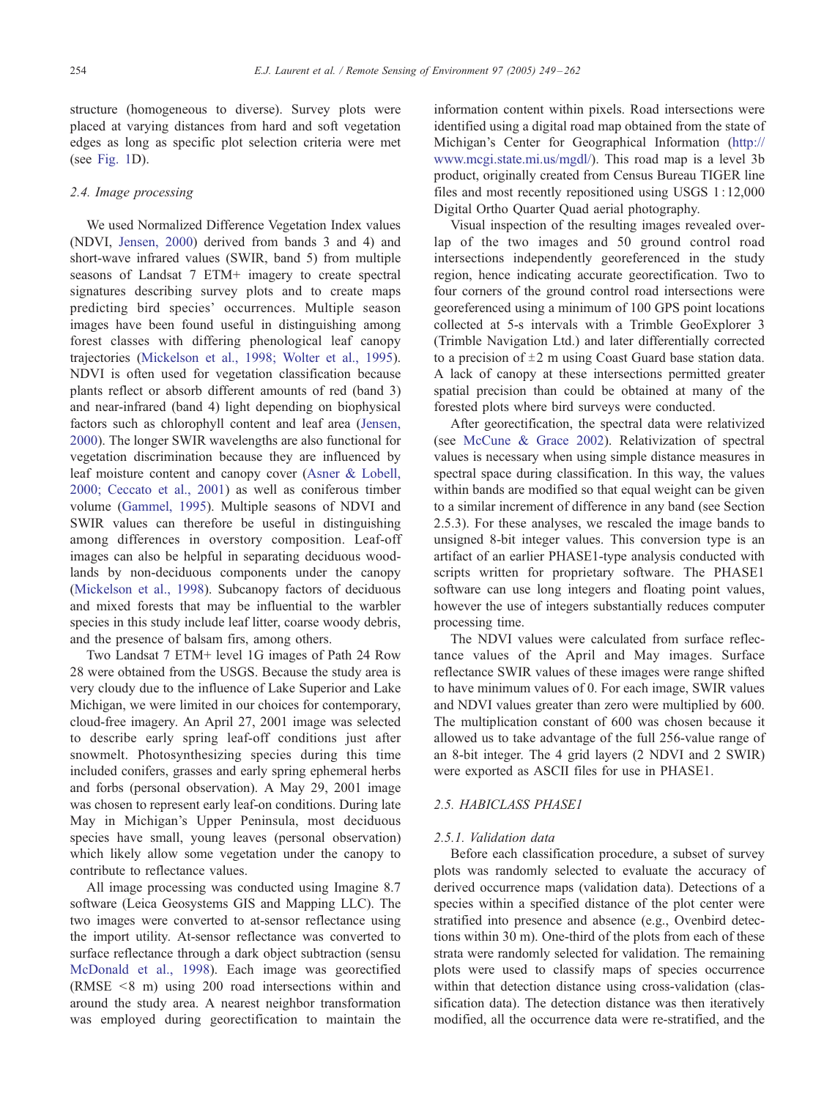structure (homogeneous to diverse). Survey plots were placed at varying distances from hard and soft vegetation edges as long as specific plot selection criteria were met (see [Fig. 1](#page-2-0)D).

# 2.4. Image processing

We used Normalized Difference Vegetation Index values (NDVI, [Jensen, 2000\)](#page-11-0) derived from bands 3 and 4) and short-wave infrared values (SWIR, band 5) from multiple seasons of Landsat 7 ETM+ imagery to create spectral signatures describing survey plots and to create maps predicting bird species' occurrences. Multiple season images have been found useful in distinguishing among forest classes with differing phenological leaf canopy trajectories [\(Mickelson et al., 1998; Wolter et al., 1995\)](#page-12-0). NDVI is often used for vegetation classification because plants reflect or absorb different amounts of red (band 3) and near-infrared (band 4) light depending on biophysical factors such as chlorophyll content and leaf area ([Jensen,](#page-11-0) 2000). The longer SWIR wavelengths are also functional for vegetation discrimination because they are influenced by leaf moisture content and canopy cover ([Asner & Lobell,](#page-11-0) 2000; Ceccato et al., 2001) as well as coniferous timber volume ([Gammel, 1995\)](#page-11-0). Multiple seasons of NDVI and SWIR values can therefore be useful in distinguishing among differences in overstory composition. Leaf-off images can also be helpful in separating deciduous woodlands by non-deciduous components under the canopy ([Mickelson et al., 1998\)](#page-12-0). Subcanopy factors of deciduous and mixed forests that may be influential to the warbler species in this study include leaf litter, coarse woody debris, and the presence of balsam firs, among others.

Two Landsat 7 ETM+ level 1G images of Path 24 Row 28 were obtained from the USGS. Because the study area is very cloudy due to the influence of Lake Superior and Lake Michigan, we were limited in our choices for contemporary, cloud-free imagery. An April 27, 2001 image was selected to describe early spring leaf-off conditions just after snowmelt. Photosynthesizing species during this time included conifers, grasses and early spring ephemeral herbs and forbs (personal observation). A May 29, 2001 image was chosen to represent early leaf-on conditions. During late May in Michigan's Upper Peninsula, most deciduous species have small, young leaves (personal observation) which likely allow some vegetation under the canopy to contribute to reflectance values.

All image processing was conducted using Imagine 8.7 software (Leica Geosystems GIS and Mapping LLC). The two images were converted to at-sensor reflectance using the import utility. At-sensor reflectance was converted to surface reflectance through a dark object subtraction (sensu [McDonald et al., 1998\)](#page-12-0). Each image was georectified (RMSE < 8 m) using 200 road intersections within and around the study area. A nearest neighbor transformation was employed during georectification to maintain the information content within pixels. Road intersections were identified using a digital road map obtained from the state of Michigan's Center for Geographical Information ([http://](http://www.mcgi.state.mi.us/mgdl/) www.mcgi.state.mi.us/mgdl/). This road map is a level 3b product, originally created from Census Bureau TIGER line files and most recently repositioned using USGS 1: 12,000 Digital Ortho Quarter Quad aerial photography.

Visual inspection of the resulting images revealed overlap of the two images and 50 ground control road intersections independently georeferenced in the study region, hence indicating accurate georectification. Two to four corners of the ground control road intersections were georeferenced using a minimum of 100 GPS point locations collected at 5-s intervals with a Trimble GeoExplorer 3 (Trimble Navigation Ltd.) and later differentially corrected to a precision of  $\pm 2$  m using Coast Guard base station data. A lack of canopy at these intersections permitted greater spatial precision than could be obtained at many of the forested plots where bird surveys were conducted.

After georectification, the spectral data were relativized (see [McCune & Grace 2002\)](#page-12-0). Relativization of spectral values is necessary when using simple distance measures in spectral space during classification. In this way, the values within bands are modified so that equal weight can be given to a similar increment of difference in any band (see Section 2.5.3). For these analyses, we rescaled the image bands to unsigned 8-bit integer values. This conversion type is an artifact of an earlier PHASE1-type analysis conducted with scripts written for proprietary software. The PHASE1 software can use long integers and floating point values, however the use of integers substantially reduces computer processing time.

The NDVI values were calculated from surface reflectance values of the April and May images. Surface reflectance SWIR values of these images were range shifted to have minimum values of 0. For each image, SWIR values and NDVI values greater than zero were multiplied by 600. The multiplication constant of 600 was chosen because it allowed us to take advantage of the full 256-value range of an 8-bit integer. The 4 grid layers (2 NDVI and 2 SWIR) were exported as ASCII files for use in PHASE1.

# 2.5. HABICLASS PHASE1

# 2.5.1. Validation data

Before each classification procedure, a subset of survey plots was randomly selected to evaluate the accuracy of derived occurrence maps (validation data). Detections of a species within a specified distance of the plot center were stratified into presence and absence (e.g., Ovenbird detections within 30 m). One-third of the plots from each of these strata were randomly selected for validation. The remaining plots were used to classify maps of species occurrence within that detection distance using cross-validation (classification data). The detection distance was then iteratively modified, all the occurrence data were re-stratified, and the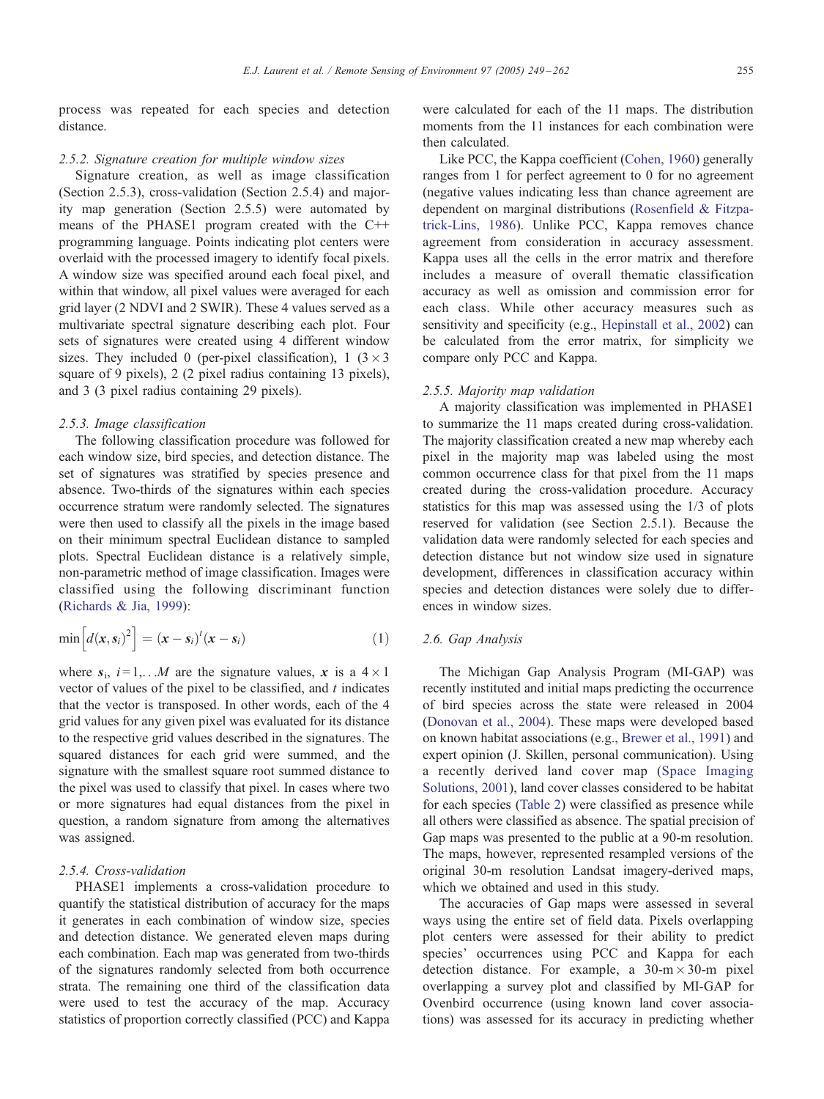process was repeated for each species and detection distance.

## 2.5.2. Signature creation for multiple window sizes

Signature creation, as well as image classification (Section 2.5.3), cross-validation (Section 2.5.4) and majority map generation (Section 2.5.5) were automated by means of the PHASE1 program created with the C++ programming language. Points indicating plot centers were overlaid with the processed imagery to identify focal pixels. A window size was specified around each focal pixel, and within that window, all pixel values were averaged for each grid layer (2 NDVI and 2 SWIR). These 4 values served as a multivariate spectral signature describing each plot. Four sets of signatures were created using 4 different window sizes. They included 0 (per-pixel classification), 1 ( $3 \times 3$ ) square of 9 pixels), 2 (2 pixel radius containing 13 pixels), and 3 (3 pixel radius containing 29 pixels).

## 2.5.3. Image classification

The following classification procedure was followed for each window size, bird species, and detection distance. The set of signatures was stratified by species presence and absence. Two-thirds of the signatures within each species occurrence stratum were randomly selected. The signatures were then used to classify all the pixels in the image based on their minimum spectral Euclidean distance to sampled plots. Spectral Euclidean distance is a relatively simple, non-parametric method of image classification. Images were classified using the following discriminant function ([Richards & Jia, 1999\)](#page-12-0):

$$
\min\left[d(\mathbf{x},\mathbf{s}_i)^2\right]=(\mathbf{x}-\mathbf{s}_i)^t(\mathbf{x}-\mathbf{s}_i)
$$
\n(1)

where  $s_i$ ,  $i = 1, \ldots, M$  are the signature values, x is a  $4 \times 1$ vector of values of the pixel to be classified, and  $t$  indicates that the vector is transposed. In other words, each of the 4 grid values for any given pixel was evaluated for its distance to the respective grid values described in the signatures. The squared distances for each grid were summed, and the signature with the smallest square root summed distance to the pixel was used to classify that pixel. In cases where two or more signatures had equal distances from the pixel in question, a random signature from among the alternatives was assigned.

# 2.5.4. Cross-validation

PHASE1 implements a cross-validation procedure to quantify the statistical distribution of accuracy for the maps it generates in each combination of window size, species and detection distance. We generated eleven maps during each combination. Each map was generated from two-thirds of the signatures randomly selected from both occurrence strata. The remaining one third of the classification data were used to test the accuracy of the map. Accuracy statistics of proportion correctly classified (PCC) and Kappa

were calculated for each of the 11 maps. The distribution moments from the 11 instances for each combination were then calculated.

Like PCC, the Kappa coefficient ([Cohen, 1960\)](#page-11-0) generally ranges from 1 for perfect agreement to 0 for no agreement (negative values indicating less than chance agreement are dependent on marginal distributions ([Rosenfield & Fitzpa](#page-12-0)trick-Lins, 1986). Unlike PCC, Kappa removes chance agreement from consideration in accuracy assessment. Kappa uses all the cells in the error matrix and therefore includes a measure of overall thematic classification accuracy as well as omission and commission error for each class. While other accuracy measures such as sensitivity and specificity (e.g., [Hepinstall et al., 2002\)](#page-11-0) can be calculated from the error matrix, for simplicity we compare only PCC and Kappa.

## 2.5.5. Majority map validation

A majority classification was implemented in PHASE1 to summarize the 11 maps created during cross-validation. The majority classification created a new map whereby each pixel in the majority map was labeled using the most common occurrence class for that pixel from the 11 maps created during the cross-validation procedure. Accuracy statistics for this map was assessed using the 1/3 of plots reserved for validation (see Section 2.5.1). Because the validation data were randomly selected for each species and detection distance but not window size used in signature development, differences in classification accuracy within species and detection distances were solely due to differences in window sizes.

# 2.6. Gap Analysis

The Michigan Gap Analysis Program (MI-GAP) was recently instituted and initial maps predicting the occurrence of bird species across the state were released in 2004 ([Donovan et al., 2004\)](#page-11-0). These maps were developed based on known habitat associations (e.g., [Brewer et al., 1991\)](#page-11-0) and expert opinion (J. Skillen, personal communication). Using a recently derived land cover map ([Space Imaging](#page-12-0) Solutions, 2001), land cover classes considered to be habitat for each species ([Table 2\)](#page-7-0) were classified as presence while all others were classified as absence. The spatial precision of Gap maps was presented to the public at a 90-m resolution. The maps, however, represented resampled versions of the original 30-m resolution Landsat imagery-derived maps, which we obtained and used in this study.

The accuracies of Gap maps were assessed in several ways using the entire set of field data. Pixels overlapping plot centers were assessed for their ability to predict species' occurrences using PCC and Kappa for each detection distance. For example, a  $30-m \times 30-m$  pixel overlapping a survey plot and classified by MI-GAP for Ovenbird occurrence (using known land cover associations) was assessed for its accuracy in predicting whether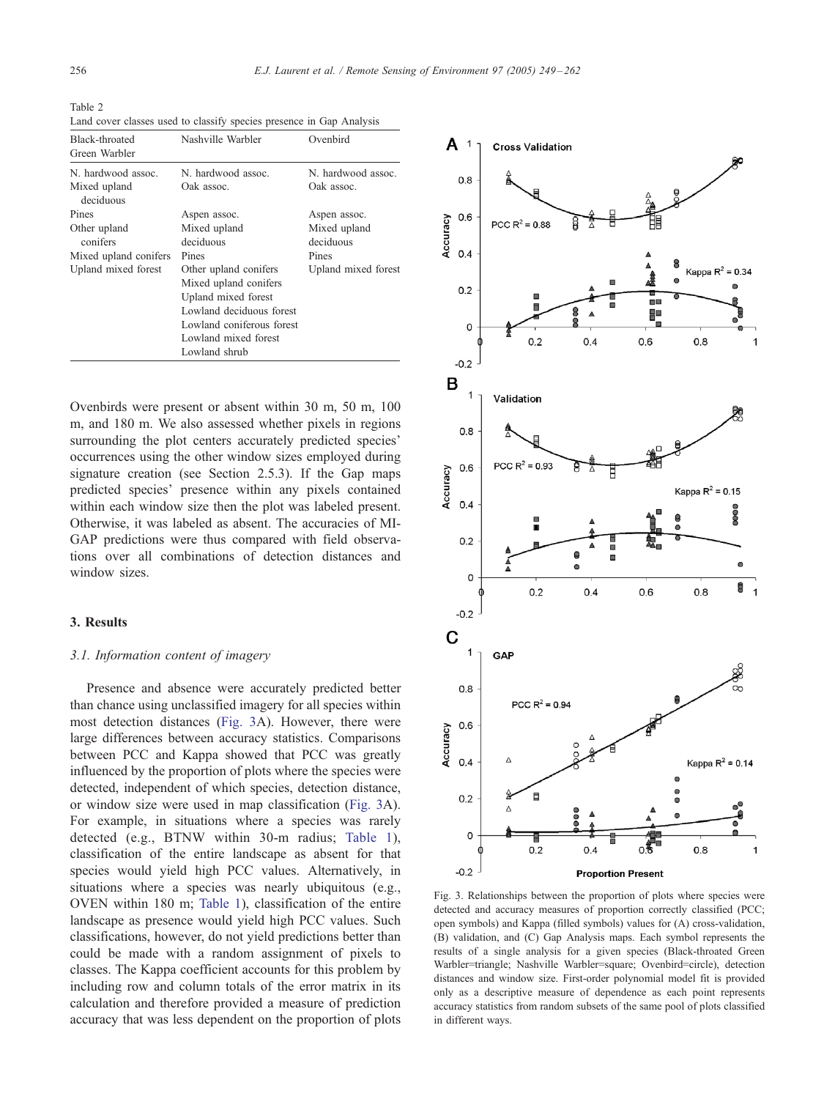<span id="page-7-0"></span>Table 2 Land cover classes used to classify species presence in Gap Analysis

| <b>Black-throated</b><br>Green Warbler | Nashville Warbler         | Ovenbird            |  |
|----------------------------------------|---------------------------|---------------------|--|
| N. hardwood assoc.                     | N. hardwood assoc.        | N. hardwood assoc.  |  |
| Mixed upland<br>deciduous              | Oak assoc.                | Oak assoc.          |  |
| Pines                                  | Aspen assoc.              | Aspen assoc.        |  |
| Other upland<br>conifers               | Mixed upland              | Mixed upland        |  |
|                                        | deciduous                 | deciduous           |  |
| Mixed upland conifers                  | Pines                     | Pines               |  |
| Upland mixed forest                    | Other upland conifers     | Upland mixed forest |  |
|                                        | Mixed upland conifers     |                     |  |
|                                        | Upland mixed forest       |                     |  |
|                                        | Lowland deciduous forest  |                     |  |
|                                        | Lowland coniferous forest |                     |  |
|                                        | Lowland mixed forest      |                     |  |
|                                        | Lowland shrub             |                     |  |

Ovenbirds were present or absent within 30 m, 50 m, 100 m, and 180 m. We also assessed whether pixels in regions surrounding the plot centers accurately predicted species' occurrences using the other window sizes employed during signature creation (see Section 2.5.3). If the Gap maps predicted species' presence within any pixels contained within each window size then the plot was labeled present. Otherwise, it was labeled as absent. The accuracies of MI-GAP predictions were thus compared with field observations over all combinations of detection distances and window sizes.

## 3. Results

## 3.1. Information content of imagery

Presence and absence were accurately predicted better than chance using unclassified imagery for all species within most detection distances (Fig. 3A). However, there were large differences between accuracy statistics. Comparisons between PCC and Kappa showed that PCC was greatly influenced by the proportion of plots where the species were detected, independent of which species, detection distance, or window size were used in map classification (Fig. 3A). For example, in situations where a species was rarely detected (e.g., BTNW within 30-m radius; [Table 1\)](#page-4-0), classification of the entire landscape as absent for that species would yield high PCC values. Alternatively, in situations where a species was nearly ubiquitous (e.g., OVEN within 180 m; [Table 1\)](#page-4-0), classification of the entire landscape as presence would yield high PCC values. Such classifications, however, do not yield predictions better than could be made with a random assignment of pixels to classes. The Kappa coefficient accounts for this problem by including row and column totals of the error matrix in its calculation and therefore provided a measure of prediction accuracy that was less dependent on the proportion of plots



Fig. 3. Relationships between the proportion of plots where species were detected and accuracy measures of proportion correctly classified (PCC; open symbols) and Kappa (filled symbols) values for (A) cross-validation, (B) validation, and (C) Gap Analysis maps. Each symbol represents the results of a single analysis for a given species (Black-throated Green Warbler=triangle; Nashville Warbler=square; Ovenbird=circle), detection distances and window size. First-order polynomial model fit is provided only as a descriptive measure of dependence as each point represents accuracy statistics from random subsets of the same pool of plots classified in different ways.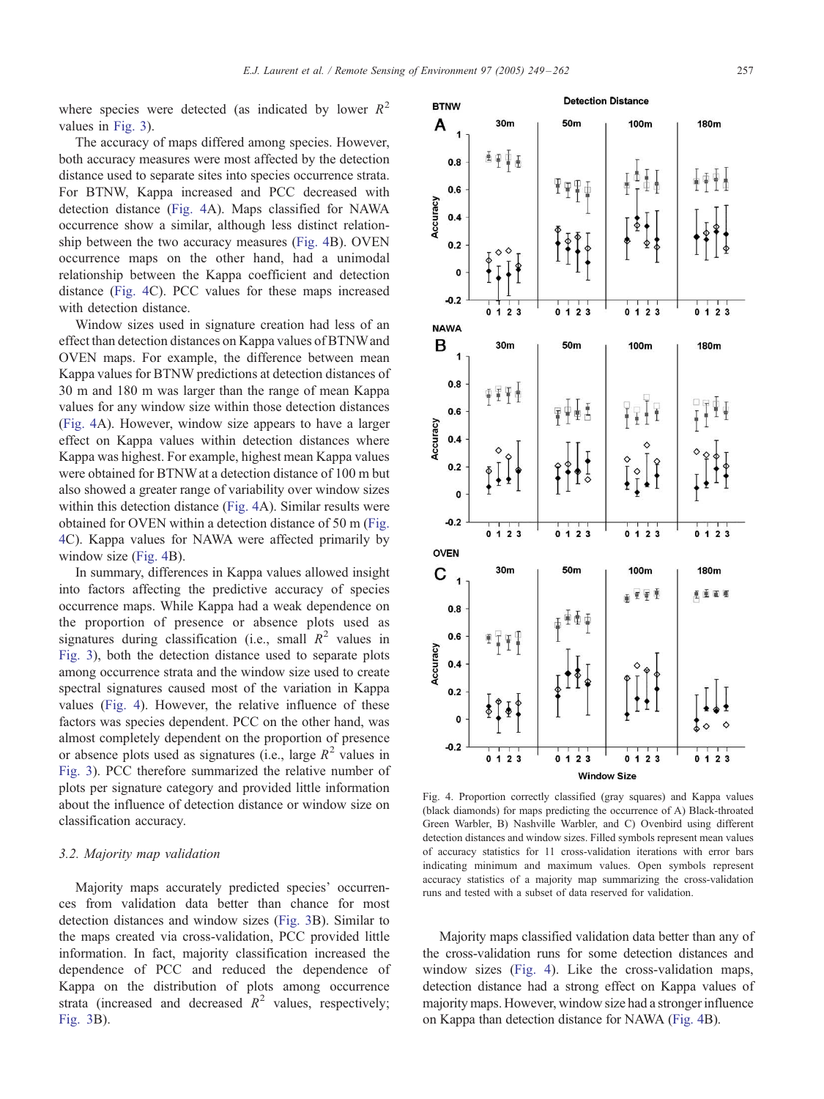<span id="page-8-0"></span>where species were detected (as indicated by lower  $R^2$ values in [Fig. 3\)](#page-7-0).

The accuracy of maps differed among species. However, both accuracy measures were most affected by the detection distance used to separate sites into species occurrence strata. For BTNW, Kappa increased and PCC decreased with detection distance (Fig. 4A). Maps classified for NAWA occurrence show a similar, although less distinct relationship between the two accuracy measures (Fig. 4B). OVEN occurrence maps on the other hand, had a unimodal relationship between the Kappa coefficient and detection distance (Fig. 4C). PCC values for these maps increased with detection distance.

Window sizes used in signature creation had less of an effect than detection distances on Kappa values of BTNWand OVEN maps. For example, the difference between mean Kappa values for BTNW predictions at detection distances of 30 m and 180 m was larger than the range of mean Kappa values for any window size within those detection distances (Fig. 4A). However, window size appears to have a larger effect on Kappa values within detection distances where Kappa was highest. For example, highest mean Kappa values were obtained for BTNW at a detection distance of 100 m but also showed a greater range of variability over window sizes within this detection distance (Fig. 4A). Similar results were obtained for OVEN within a detection distance of 50 m (Fig. 4C). Kappa values for NAWA were affected primarily by window size (Fig. 4B).

In summary, differences in Kappa values allowed insight into factors affecting the predictive accuracy of species occurrence maps. While Kappa had a weak dependence on the proportion of presence or absence plots used as signatures during classification (i.e., small  $R^2$  values in [Fig. 3\)](#page-7-0), both the detection distance used to separate plots among occurrence strata and the window size used to create spectral signatures caused most of the variation in Kappa values (Fig. 4). However, the relative influence of these factors was species dependent. PCC on the other hand, was almost completely dependent on the proportion of presence or absence plots used as signatures (i.e., large  $R^2$  values in [Fig. 3](#page-7-0)). PCC therefore summarized the relative number of plots per signature category and provided little information about the influence of detection distance or window size on classification accuracy.

#### 3.2. Majority map validation

Majority maps accurately predicted species' occurrences from validation data better than chance for most detection distances and window sizes ([Fig. 3B](#page-7-0)). Similar to the maps created via cross-validation, PCC provided little information. In fact, majority classification increased the dependence of PCC and reduced the dependence of Kappa on the distribution of plots among occurrence strata (increased and decreased  $R^2$  values, respectively; [Fig. 3B](#page-7-0)).

Fig. 4. Proportion correctly classified (gray squares) and Kappa values (black diamonds) for maps predicting the occurrence of A) Black-throated Green Warbler, B) Nashville Warbler, and C) Ovenbird using different detection distances and window sizes. Filled symbols represent mean values of accuracy statistics for 11 cross-validation iterations with error bars indicating minimum and maximum values. Open symbols represent accuracy statistics of a majority map summarizing the cross-validation runs and tested with a subset of data reserved for validation.

Majority maps classified validation data better than any of the cross-validation runs for some detection distances and window sizes (Fig. 4). Like the cross-validation maps, detection distance had a strong effect on Kappa values of majority maps. However, window size had a stronger influence on Kappa than detection distance for NAWA (Fig. 4B).



**Detection Distance** 

100m

50<sub>m</sub>

 $\Psi$ 

**BTNW** 

 $0.8$ 

 $0.6$ 

A  $\overline{A}$ 

Accuracy  $0.4$   $30<sub>m</sub>$ 

医甲粟素

**180m** 

 $\frac{1}{4}$   $\frac{1}{4}$   $\frac{1}{4}$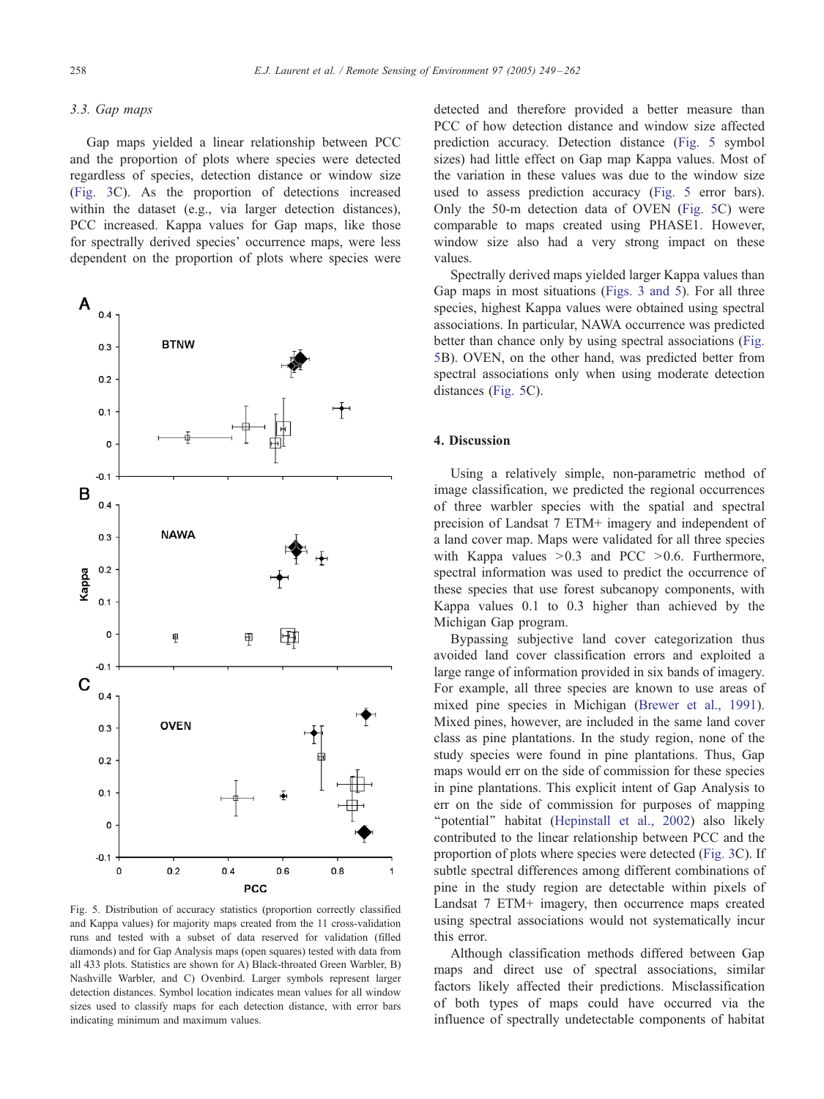# 3.3. Gap maps

Gap maps yielded a linear relationship between PCC and the proportion of plots where species were detected regardless of species, detection distance or window size ([Fig. 3](#page-7-0)C). As the proportion of detections increased within the dataset (e.g., via larger detection distances), PCC increased. Kappa values for Gap maps, like those for spectrally derived species' occurrence maps, were less dependent on the proportion of plots where species were



Fig. 5. Distribution of accuracy statistics (proportion correctly classified and Kappa values) for majority maps created from the 11 cross-validation runs and tested with a subset of data reserved for validation (filled diamonds) and for Gap Analysis maps (open squares) tested with data from all 433 plots. Statistics are shown for A) Black-throated Green Warbler, B) Nashville Warbler, and C) Ovenbird. Larger symbols represent larger detection distances. Symbol location indicates mean values for all window sizes used to classify maps for each detection distance, with error bars indicating minimum and maximum values.

detected and therefore provided a better measure than PCC of how detection distance and window size affected prediction accuracy. Detection distance (Fig. 5 symbol sizes) had little effect on Gap map Kappa values. Most of the variation in these values was due to the window size used to assess prediction accuracy (Fig. 5 error bars). Only the 50-m detection data of OVEN (Fig. 5C) were comparable to maps created using PHASE1. However, window size also had a very strong impact on these values.

Spectrally derived maps yielded larger Kappa values than Gap maps in most situations ([Figs. 3 and 5\)](#page-7-0). For all three species, highest Kappa values were obtained using spectral associations. In particular, NAWA occurrence was predicted better than chance only by using spectral associations (Fig. 5B). OVEN, on the other hand, was predicted better from spectral associations only when using moderate detection distances (Fig. 5C).

# 4. Discussion

Using a relatively simple, non-parametric method of image classification, we predicted the regional occurrences of three warbler species with the spatial and spectral precision of Landsat 7 ETM+ imagery and independent of a land cover map. Maps were validated for all three species with Kappa values  $>0.3$  and PCC  $>0.6$ . Furthermore, spectral information was used to predict the occurrence of these species that use forest subcanopy components, with Kappa values 0.1 to 0.3 higher than achieved by the Michigan Gap program.

Bypassing subjective land cover categorization thus avoided land cover classification errors and exploited a large range of information provided in six bands of imagery. For example, all three species are known to use areas of mixed pine species in Michigan ([Brewer et al., 1991\)](#page-11-0). Mixed pines, however, are included in the same land cover class as pine plantations. In the study region, none of the study species were found in pine plantations. Thus, Gap maps would err on the side of commission for these species in pine plantations. This explicit intent of Gap Analysis to err on the side of commission for purposes of mapping "potential" habitat ([Hepinstall et al., 2002\)](#page-11-0) also likely contributed to the linear relationship between PCC and the proportion of plots where species were detected ([Fig. 3C](#page-7-0)). If subtle spectral differences among different combinations of pine in the study region are detectable within pixels of Landsat 7 ETM+ imagery, then occurrence maps created using spectral associations would not systematically incur this error.

Although classification methods differed between Gap maps and direct use of spectral associations, similar factors likely affected their predictions. Misclassification of both types of maps could have occurred via the influence of spectrally undetectable components of habitat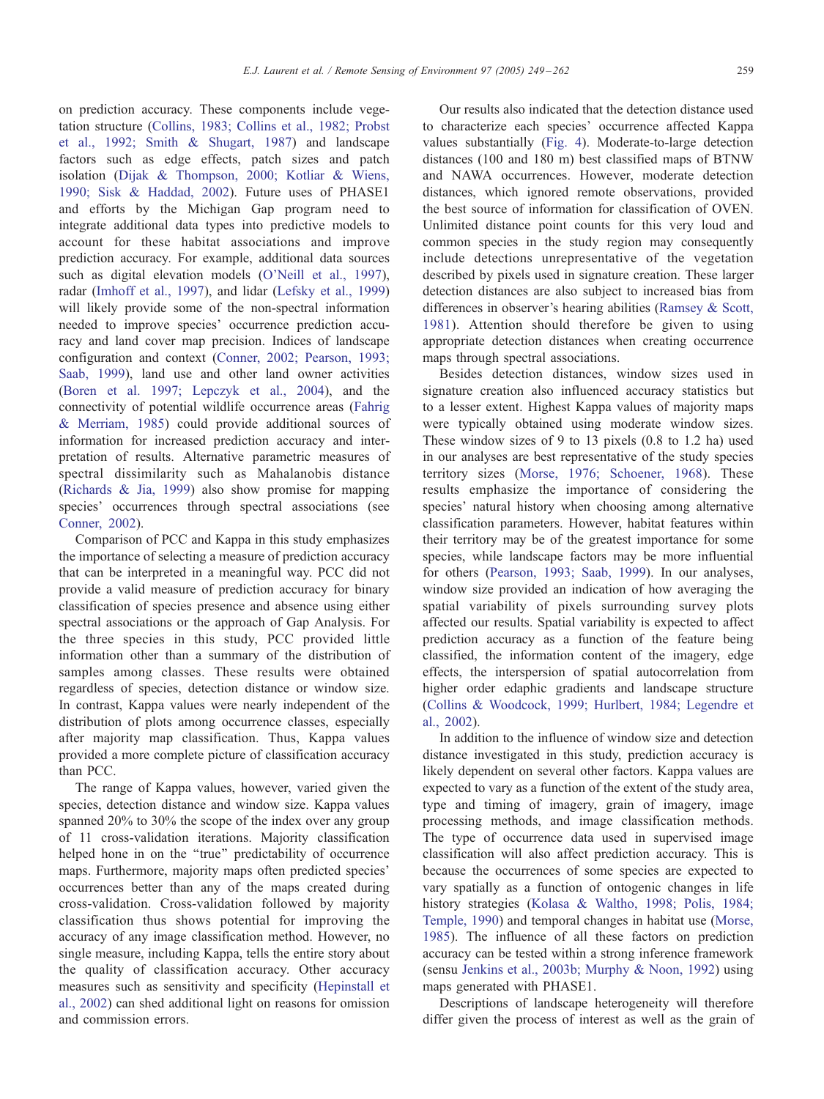on prediction accuracy. These components include vegetation structure [\(Collins, 1983; Collins et al., 1982; Probst](#page-11-0) et al., 1992; Smith & Shugart, 1987) and landscape factors such as edge effects, patch sizes and patch isolation ([Dijak & Thompson, 2000; Kotliar & Wiens,](#page-11-0) 1990; Sisk & Haddad, 2002). Future uses of PHASE1 and efforts by the Michigan Gap program need to integrate additional data types into predictive models to account for these habitat associations and improve prediction accuracy. For example, additional data sources such as digital elevation models ([O'Neill et al., 1997\)](#page-12-0), radar ([Imhoff et al., 1997\)](#page-11-0), and lidar ([Lefsky et al., 1999\)](#page-12-0) will likely provide some of the non-spectral information needed to improve species' occurrence prediction accuracy and land cover map precision. Indices of landscape configuration and context ([Conner, 2002; Pearson, 1993;](#page-11-0) Saab, 1999), land use and other land owner activities ([Boren et al. 1997; Lepczyk et al., 2004\)](#page-11-0), and the connectivity of potential wildlife occurrence areas ([Fahrig](#page-11-0) & Merriam, 1985) could provide additional sources of information for increased prediction accuracy and interpretation of results. Alternative parametric measures of spectral dissimilarity such as Mahalanobis distance ([Richards & Jia, 1999\)](#page-12-0) also show promise for mapping species' occurrences through spectral associations (see [Conner, 2002\)](#page-11-0).

Comparison of PCC and Kappa in this study emphasizes the importance of selecting a measure of prediction accuracy that can be interpreted in a meaningful way. PCC did not provide a valid measure of prediction accuracy for binary classification of species presence and absence using either spectral associations or the approach of Gap Analysis. For the three species in this study, PCC provided little information other than a summary of the distribution of samples among classes. These results were obtained regardless of species, detection distance or window size. In contrast, Kappa values were nearly independent of the distribution of plots among occurrence classes, especially after majority map classification. Thus, Kappa values provided a more complete picture of classification accuracy than PCC.

The range of Kappa values, however, varied given the species, detection distance and window size. Kappa values spanned 20% to 30% the scope of the index over any group of 11 cross-validation iterations. Majority classification helped hone in on the "true" predictability of occurrence maps. Furthermore, majority maps often predicted species' occurrences better than any of the maps created during cross-validation. Cross-validation followed by majority classification thus shows potential for improving the accuracy of any image classification method. However, no single measure, including Kappa, tells the entire story about the quality of classification accuracy. Other accuracy measures such as sensitivity and specificity ([Hepinstall et](#page-11-0) al., 2002) can shed additional light on reasons for omission and commission errors.

Our results also indicated that the detection distance used to characterize each species' occurrence affected Kappa values substantially ([Fig. 4\)](#page-8-0). Moderate-to-large detection distances (100 and 180 m) best classified maps of BTNW and NAWA occurrences. However, moderate detection distances, which ignored remote observations, provided the best source of information for classification of OVEN. Unlimited distance point counts for this very loud and common species in the study region may consequently include detections unrepresentative of the vegetation described by pixels used in signature creation. These larger detection distances are also subject to increased bias from differences in observer's hearing abilities ([Ramsey & Scott,](#page-12-0) 1981). Attention should therefore be given to using appropriate detection distances when creating occurrence maps through spectral associations.

Besides detection distances, window sizes used in signature creation also influenced accuracy statistics but to a lesser extent. Highest Kappa values of majority maps were typically obtained using moderate window sizes. These window sizes of 9 to 13 pixels (0.8 to 1.2 ha) used in our analyses are best representative of the study species territory sizes ([Morse, 1976; Schoener, 1968\)](#page-12-0). These results emphasize the importance of considering the species' natural history when choosing among alternative classification parameters. However, habitat features within their territory may be of the greatest importance for some species, while landscape factors may be more influential for others ([Pearson, 1993; Saab, 1999\)](#page-12-0). In our analyses, window size provided an indication of how averaging the spatial variability of pixels surrounding survey plots affected our results. Spatial variability is expected to affect prediction accuracy as a function of the feature being classified, the information content of the imagery, edge effects, the interspersion of spatial autocorrelation from higher order edaphic gradients and landscape structure ([Collins & Woodcock, 1999; Hurlbert, 1984; Legendre et](#page-11-0) al., 2002).

In addition to the influence of window size and detection distance investigated in this study, prediction accuracy is likely dependent on several other factors. Kappa values are expected to vary as a function of the extent of the study area, type and timing of imagery, grain of imagery, image processing methods, and image classification methods. The type of occurrence data used in supervised image classification will also affect prediction accuracy. This is because the occurrences of some species are expected to vary spatially as a function of ontogenic changes in life history strategies ([Kolasa & Waltho, 1998; Polis, 1984;](#page-12-0) Temple, 1990) and temporal changes in habitat use ([Morse,](#page-12-0) 1985). The influence of all these factors on prediction accuracy can be tested within a strong inference framework (sensu [Jenkins et al., 2003b; Murphy & Noon, 1992\)](#page-11-0) using maps generated with PHASE1.

Descriptions of landscape heterogeneity will therefore differ given the process of interest as well as the grain of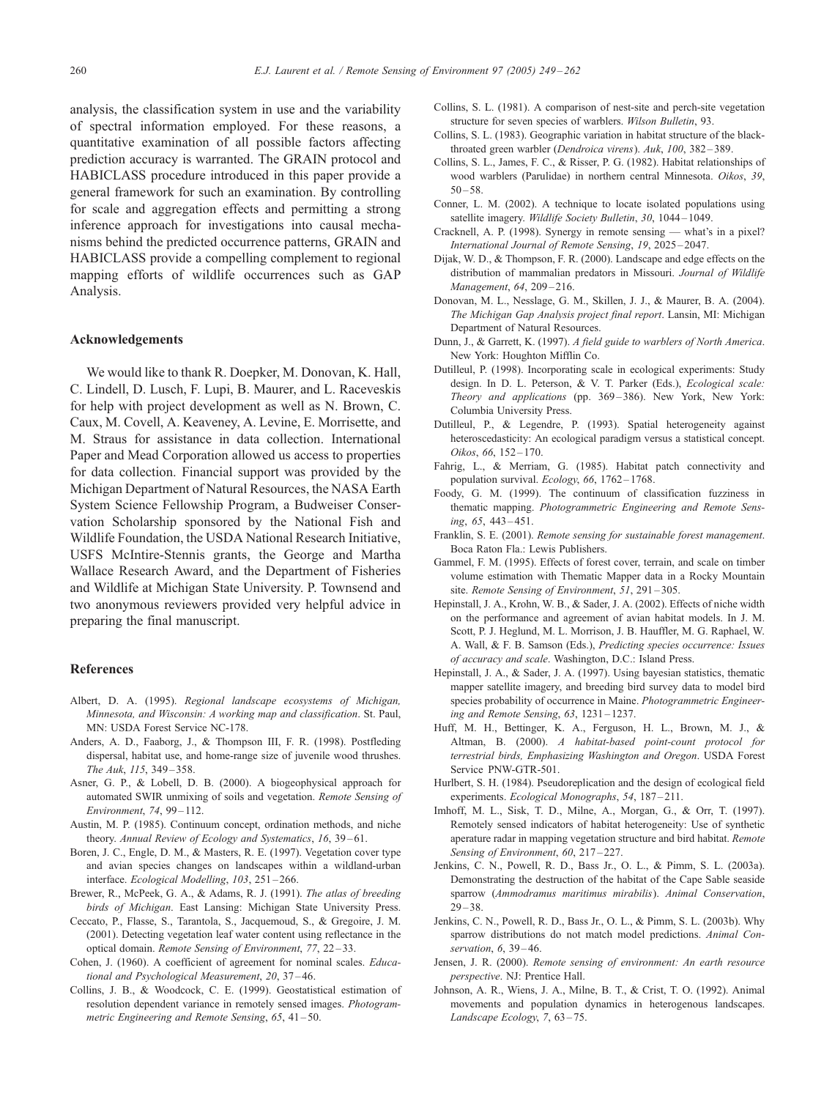<span id="page-11-0"></span>analysis, the classification system in use and the variability of spectral information employed. For these reasons, a quantitative examination of all possible factors affecting prediction accuracy is warranted. The GRAIN protocol and HABICLASS procedure introduced in this paper provide a general framework for such an examination. By controlling for scale and aggregation effects and permitting a strong inference approach for investigations into causal mechanisms behind the predicted occurrence patterns, GRAIN and HABICLASS provide a compelling complement to regional mapping efforts of wildlife occurrences such as GAP Analysis.

# Acknowledgements

We would like to thank R. Doepker, M. Donovan, K. Hall, C. Lindell, D. Lusch, F. Lupi, B. Maurer, and L. Raceveskis for help with project development as well as N. Brown, C. Caux, M. Covell, A. Keaveney, A. Levine, E. Morrisette, and M. Straus for assistance in data collection. International Paper and Mead Corporation allowed us access to properties for data collection. Financial support was provided by the Michigan Department of Natural Resources, the NASA Earth System Science Fellowship Program, a Budweiser Conservation Scholarship sponsored by the National Fish and Wildlife Foundation, the USDA National Research Initiative, USFS McIntire-Stennis grants, the George and Martha Wallace Research Award, and the Department of Fisheries and Wildlife at Michigan State University. P. Townsend and two anonymous reviewers provided very helpful advice in preparing the final manuscript.

#### References

- Albert, D. A. (1995). Regional landscape ecosystems of Michigan, Minnesota, and Wisconsin: A working map and classification. St. Paul, MN' USDA Forest Service NC-178.
- Anders, A. D., Faaborg, J., & Thompson III, F. R. (1998). Postfleding dispersal, habitat use, and home-range size of juvenile wood thrushes. The Auk, 115, 349 – 358.
- Asner, G. P., & Lobell, D. B. (2000). A biogeophysical approach for automated SWIR unmixing of soils and vegetation. Remote Sensing of Environment, 74, 99 – 112.
- Austin, M. P. (1985). Continuum concept, ordination methods, and niche theory. Annual Review of Ecology and Systematics, 16, 39-61.
- Boren, J. C., Engle, D. M., & Masters, R. E. (1997). Vegetation cover type and avian species changes on landscapes within a wildland-urban interface. Ecological Modelling, 103, 251 – 266.
- Brewer, R., McPeek, G. A., & Adams, R. J. (1991). The atlas of breeding birds of Michigan. East Lansing: Michigan State University Press.
- Ceccato, P., Flasse, S., Tarantola, S., Jacquemoud, S., & Gregoire, J. M. (2001). Detecting vegetation leaf water content using reflectance in the optical domain. Remote Sensing of Environment, 77, 22 – 33.
- Cohen, J. (1960). A coefficient of agreement for nominal scales. Educational and Psychological Measurement, 20, 37 – 46.
- Collins, J. B., & Woodcock, C. E. (1999). Geostatistical estimation of resolution dependent variance in remotely sensed images. Photogrammetric Engineering and Remote Sensing, 65, 41 – 50.
- Collins, S. L. (1981). A comparison of nest-site and perch-site vegetation structure for seven species of warblers. Wilson Bulletin, 93.
- Collins, S. L. (1983). Geographic variation in habitat structure of the blackthroated green warbler (Dendroica virens). Auk, 100, 382-389.
- Collins, S. L., James, F. C., & Risser, P. G. (1982). Habitat relationships of wood warblers (Parulidae) in northern central Minnesota. Oikos, 39,  $50 - 58.$
- Conner, L. M. (2002). A technique to locate isolated populations using satellite imagery. Wildlife Society Bulletin, 30, 1044-1049.
- Cracknell, A. P. (1998). Synergy in remote sensing what's in a pixel? International Journal of Remote Sensing, 19, 2025 – 2047.
- Dijak, W. D., & Thompson, F. R. (2000). Landscape and edge effects on the distribution of mammalian predators in Missouri. Journal of Wildlife Management, 64, 209-216.
- Donovan, M. L., Nesslage, G. M., Skillen, J. J., & Maurer, B. A. (2004). The Michigan Gap Analysis project final report. Lansin, MI' Michigan Department of Natural Resources.
- Dunn, J., & Garrett, K. (1997). A field guide to warblers of North America. New York' Houghton Mifflin Co.
- Dutilleul, P. (1998). Incorporating scale in ecological experiments: Study design. In D. L. Peterson, & V. T. Parker (Eds.), Ecological scale: Theory and applications (pp. 369-386). New York, New York: Columbia University Press.
- Dutilleul, P., & Legendre, P. (1993). Spatial heterogeneity against heteroscedasticity: An ecological paradigm versus a statistical concept. Oikos, 66, 152-170.
- Fahrig, L., & Merriam, G. (1985). Habitat patch connectivity and population survival.  $Ecology$ , 66, 1762-1768.
- Foody, G. M. (1999). The continuum of classification fuzziness in thematic mapping. Photogrammetric Engineering and Remote Sensing, 65, 443 – 451.
- Franklin, S. E. (2001). Remote sensing for sustainable forest management. Boca Raton Fla.' Lewis Publishers.
- Gammel, F. M. (1995). Effects of forest cover, terrain, and scale on timber volume estimation with Thematic Mapper data in a Rocky Mountain site. Remote Sensing of Environment, 51, 291-305.
- Hepinstall, J. A., Krohn, W. B., & Sader, J. A. (2002). Effects of niche width on the performance and agreement of avian habitat models. In J. M. Scott, P. J. Heglund, M. L. Morrison, J. B. Hauffler, M. G. Raphael, W. A. Wall, & F. B. Samson (Eds.), Predicting species occurrence: Issues of accuracy and scale. Washington, D.C.' Island Press.
- Hepinstall, J. A., & Sader, J. A. (1997). Using bayesian statistics, thematic mapper satellite imagery, and breeding bird survey data to model bird species probability of occurrence in Maine. Photogrammetric Engineering and Remote Sensing, 63, 1231 – 1237.
- Huff, M. H., Bettinger, K. A., Ferguson, H. L., Brown, M. J., & Altman, B. (2000). A habitat-based point-count protocol for terrestrial birds, Emphasizing Washington and Oregon. USDA Forest Service PNW-GTR-501.
- Hurlbert, S. H. (1984). Pseudoreplication and the design of ecological field experiments. Ecological Monographs, 54, 187-211.
- Imhoff, M. L., Sisk, T. D., Milne, A., Morgan, G., & Orr, T. (1997). Remotely sensed indicators of habitat heterogeneity: Use of synthetic aperature radar in mapping vegetation structure and bird habitat. Remote Sensing of Environment, 60, 217-227.
- Jenkins, C. N., Powell, R. D., Bass Jr., O. L., & Pimm, S. L. (2003a). Demonstrating the destruction of the habitat of the Cape Sable seaside sparrow (Ammodramus maritimus mirabilis). Animal Conservation,  $29 - 38.$
- Jenkins, C. N., Powell, R. D., Bass Jr., O. L., & Pimm, S. L. (2003b). Why sparrow distributions do not match model predictions. Animal Conservation, 6, 39-46.
- Jensen, J. R. (2000). Remote sensing of environment: An earth resource perspective. NJ: Prentice Hall.
- Johnson, A. R., Wiens, J. A., Milne, B. T., & Crist, T. O. (1992). Animal movements and population dynamics in heterogenous landscapes. Landscape Ecology, 7, 63-75.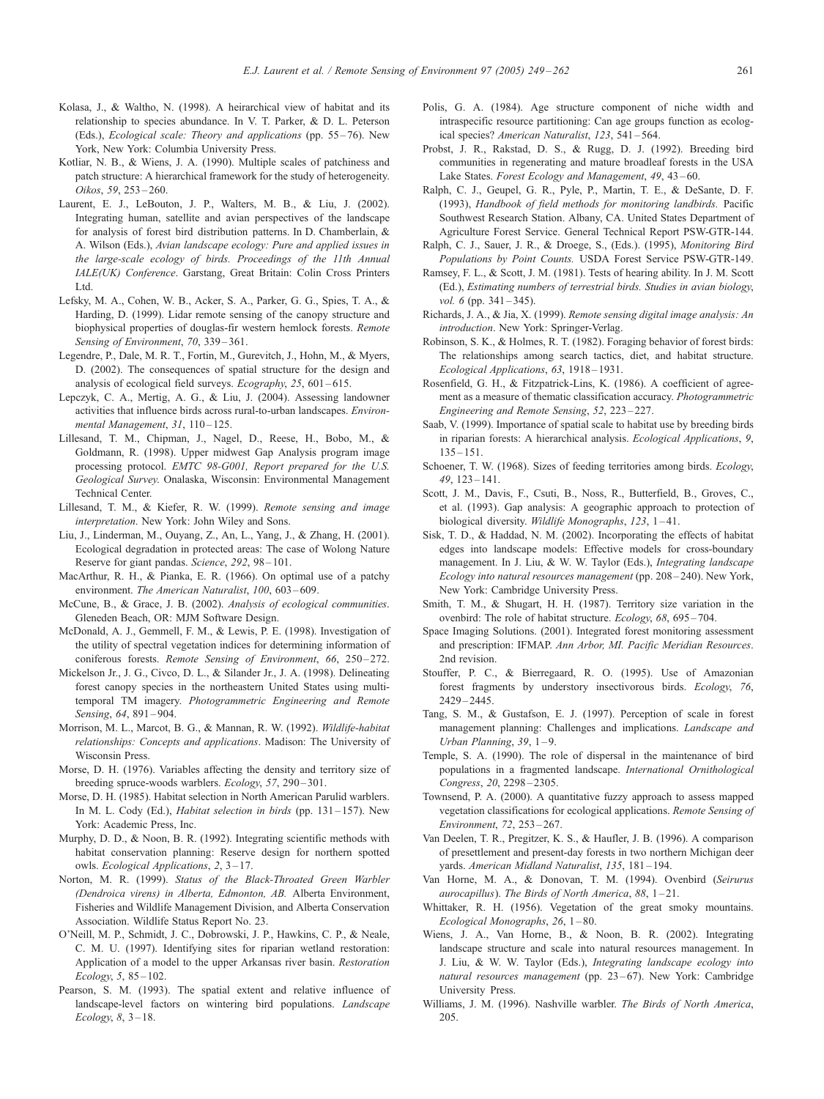- <span id="page-12-0"></span>Kolasa, J., & Waltho, N. (1998). A heirarchical view of habitat and its relationship to species abundance. In V. T. Parker, & D. L. Peterson (Eds.), *Ecological scale: Theory and applications* (pp. 55-76). New York, New York' Columbia University Press.
- Kotliar, N. B., & Wiens, J. A. (1990). Multiple scales of patchiness and patch structure: A hierarchical framework for the study of heterogeneity. Oikos, 59, 253 – 260.
- Laurent, E. J., LeBouton, J. P., Walters, M. B., & Liu, J. (2002). Integrating human, satellite and avian perspectives of the landscape for analysis of forest bird distribution patterns. In D. Chamberlain, & A. Wilson (Eds.), Avian landscape ecology: Pure and applied issues in the large-scale ecology of birds. Proceedings of the 11th Annual IALE(UK) Conference. Garstang, Great Britain: Colin Cross Printers Ltd.
- Lefsky, M. A., Cohen, W. B., Acker, S. A., Parker, G. G., Spies, T. A., & Harding, D. (1999). Lidar remote sensing of the canopy structure and biophysical properties of douglas-fir western hemlock forests. Remote Sensing of Environment, 70, 339-361.
- Legendre, P., Dale, M. R. T., Fortin, M., Gurevitch, J., Hohn, M., & Myers, D. (2002). The consequences of spatial structure for the design and analysis of ecological field surveys. Ecography, 25, 601-615.
- Lepczyk, C. A., Mertig, A. G., & Liu, J. (2004). Assessing landowner activities that influence birds across rural-to-urban landscapes. Environmental Management, 31, 110-125.
- Lillesand, T. M., Chipman, J., Nagel, D., Reese, H., Bobo, M., & Goldmann, R. (1998). Upper midwest Gap Analysis program image processing protocol. EMTC 98-G001, Report prepared for the U.S. Geological Survey. Onalaska, Wisconsin' Environmental Management Technical Center.
- Lillesand, T. M., & Kiefer, R. W. (1999). Remote sensing and image interpretation. New York' John Wiley and Sons.
- Liu, J., Linderman, M., Ouyang, Z., An, L., Yang, J., & Zhang, H. (2001). Ecological degradation in protected areas: The case of Wolong Nature Reserve for giant pandas. Science, 292, 98-101.
- MacArthur, R. H., & Pianka, E. R. (1966). On optimal use of a patchy environment. The American Naturalist, 100, 603-609.
- McCune, B., & Grace, J. B. (2002). Analysis of ecological communities. Gleneden Beach, OR' MJM Software Design.
- McDonald, A. J., Gemmell, F. M., & Lewis, P. E. (1998). Investigation of the utility of spectral vegetation indices for determining information of coniferous forests. Remote Sensing of Environment, 66, 250-272.
- Mickelson Jr., J. G., Civco, D. L., & Silander Jr., J. A. (1998). Delineating forest canopy species in the northeastern United States using multitemporal TM imagery. Photogrammetric Engineering and Remote Sensing, 64, 891-904.
- Morrison, M. L., Marcot, B. G., & Mannan, R. W. (1992). Wildlife-habitat relationships: Concepts and applications. Madison: The University of Wisconsin Press.
- Morse, D. H. (1976). Variables affecting the density and territory size of breeding spruce-woods warblers. Ecology, 57, 290-301.
- Morse, D. H. (1985). Habitat selection in North American Parulid warblers. In M. L. Cody (Ed.), Habitat selection in birds (pp. 131-157). New York' Academic Press, Inc.
- Murphy, D. D., & Noon, B. R. (1992). Integrating scientific methods with habitat conservation planning: Reserve design for northern spotted owls. Ecological Applications, 2, 3-17.
- Norton, M. R. (1999). Status of the Black-Throated Green Warbler (Dendroica virens) in Alberta, Edmonton, AB. Alberta Environment, Fisheries and Wildlife Management Division, and Alberta Conservation Association. Wildlife Status Report No. 23.
- O'Neill, M. P., Schmidt, J. C., Dobrowski, J. P., Hawkins, C. P., & Neale, C. M. U. (1997). Identifying sites for riparian wetland restoration: Application of a model to the upper Arkansas river basin. Restoration  $Ecology, 5, 85-102.$
- Pearson, S. M. (1993). The spatial extent and relative influence of landscape-level factors on wintering bird populations. Landscape Ecology,  $8, 3-18.$
- Polis, G. A. (1984). Age structure component of niche width and intraspecific resource partitioning: Can age groups function as ecological species? American Naturalist, 123, 541 – 564.
- Probst, J. R., Rakstad, D. S., & Rugg, D. J. (1992). Breeding bird communities in regenerating and mature broadleaf forests in the USA Lake States. Forest Ecology and Management, 49, 43-60.
- Ralph, C. J., Geupel, G. R., Pyle, P., Martin, T. E., & DeSante, D. F. (1993), Handbook of field methods for monitoring landbirds. Pacific Southwest Research Station. Albany, CA. United States Department of Agriculture Forest Service. General Technical Report PSW-GTR-144.
- Ralph, C. J., Sauer, J. R., & Droege, S., (Eds.). (1995), Monitoring Bird Populations by Point Counts. USDA Forest Service PSW-GTR-149.
- Ramsey, F. L., & Scott, J. M. (1981). Tests of hearing ability. In J. M. Scott (Ed.), Estimating numbers of terrestrial birds. Studies in avian biology, vol. 6 (pp.  $341 - 345$ ).
- Richards, J. A., & Jia, X. (1999). Remote sensing digital image analysis: An introduction. New York: Springer-Verlag.
- Robinson, S. K., & Holmes, R. T. (1982). Foraging behavior of forest birds: The relationships among search tactics, diet, and habitat structure. Ecological Applications, 63, 1918 – 1931.
- Rosenfield, G. H., & Fitzpatrick-Lins, K. (1986). A coefficient of agreement as a measure of thematic classification accuracy. Photogrammetric Engineering and Remote Sensing, 52, 223 – 227.
- Saab, V. (1999). Importance of spatial scale to habitat use by breeding birds in riparian forests: A hierarchical analysis. Ecological Applications, 9,  $135 - 151$
- Schoener, T. W. (1968). Sizes of feeding territories among birds. Ecology, 49, 123 – 141.
- Scott, J. M., Davis, F., Csuti, B., Noss, R., Butterfield, B., Groves, C., et al. (1993). Gap analysis: A geographic approach to protection of biological diversity. Wildlife Monographs, 123, 1-41.
- Sisk, T. D., & Haddad, N. M. (2002). Incorporating the effects of habitat edges into landscape models: Effective models for cross-boundary management. In J. Liu, & W. W. Taylor (Eds.), Integrating landscape Ecology into natural resources management (pp. 208 – 240). New York, New York' Cambridge University Press.
- Smith, T. M., & Shugart, H. H. (1987). Territory size variation in the ovenbird: The role of habitat structure. Ecology, 68, 695-704.
- Space Imaging Solutions. (2001). Integrated forest monitoring assessment and prescription: IFMAP. Ann Arbor, MI. Pacific Meridian Resources. 2nd revision.
- Stouffer, P. C., & Bierregaard, R. O. (1995). Use of Amazonian forest fragments by understory insectivorous birds. Ecology, 76, 2429 – 2445.
- Tang, S. M., & Gustafson, E. J. (1997). Perception of scale in forest management planning: Challenges and implications. Landscape and Urban Planning,  $39, 1-9$ .
- Temple, S. A. (1990). The role of dispersal in the maintenance of bird populations in a fragmented landscape. International Ornithological Congress, 20, 2298-2305.
- Townsend, P. A. (2000). A quantitative fuzzy approach to assess mapped vegetation classifications for ecological applications. Remote Sensing of Environment, 72, 253 – 267.
- Van Deelen, T. R., Pregitzer, K. S., & Haufler, J. B. (1996). A comparison of presettlement and present-day forests in two northern Michigan deer yards. American Midland Naturalist, 135, 181-194.
- Van Horne, M. A., & Donovan, T. M. (1994). Ovenbird (Seirurus aurocapillus). The Birds of North America,  $88$ ,  $1-21$ .
- Whittaker, R. H. (1956). Vegetation of the great smoky mountains. Ecological Monographs, 26, 1 – 80.
- Wiens, J. A., Van Horne, B., & Noon, B. R. (2002). Integrating landscape structure and scale into natural resources management. In J. Liu, & W. W. Taylor (Eds.), Integrating landscape ecology into natural resources management (pp. 23-67). New York: Cambridge University Press.
- Williams, J. M. (1996). Nashville warbler. The Birds of North America, 205.